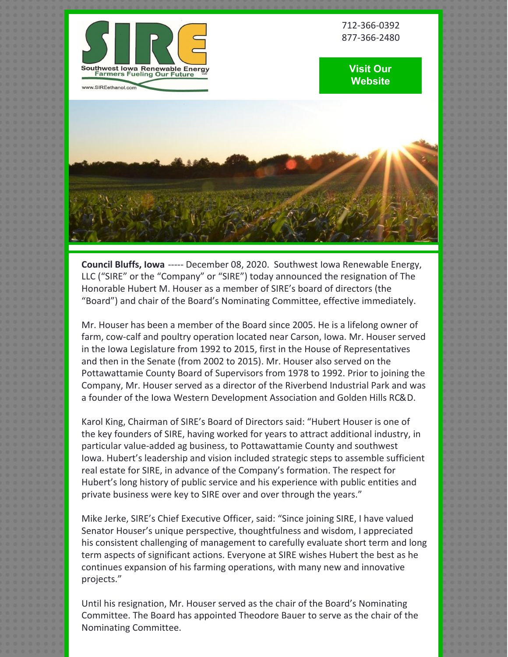

712-366-0392 877-366-2480

## **Visit Our [Website](http://www.sireethanol.com/index.cfm)**



**Council Bluffs, Iowa** ----- December 08, 2020. Southwest Iowa Renewable Energy, LLC ("SIRE" or the "Company" or "SIRE") today announced the resignation of The Honorable Hubert M. Houser as a member of SIRE's board of directors (the "Board") and chair of the Board's Nominating Committee, effective immediately.

Mr. Houser has been a member of the Board since 2005. He is a lifelong owner of farm, cow-calf and poultry operation located near Carson, Iowa. Mr. Houser served in the Iowa Legislature from 1992 to 2015, first in the House of Representatives and then in the Senate (from 2002 to 2015). Mr. Houser also served on the Pottawattamie County Board of Supervisors from 1978 to 1992. Prior to joining the Company, Mr. Houser served as a director of the Riverbend Industrial Park and was a founder of the Iowa Western Development Association and Golden Hills RC&D.

Karol King, Chairman of SIRE's Board of Directors said: "Hubert Houser is one of the key founders of SIRE, having worked for years to attract additional industry, in particular value-added ag business, to Pottawattamie County and southwest Iowa. Hubert's leadership and vision included strategic steps to assemble sufficient real estate for SIRE, in advance of the Company's formation. The respect for Hubert's long history of public service and his experience with public entities and private business were key to SIRE over and over through the years."

Mike Jerke, SIRE's Chief Executive Officer, said: "Since joining SIRE, I have valued Senator Houser's unique perspective, thoughtfulness and wisdom, I appreciated his consistent challenging of management to carefully evaluate short term and long term aspects of significant actions. Everyone at SIRE wishes Hubert the best as he continues expansion of his farming operations, with many new and innovative projects."

Until his resignation, Mr. Houser served as the chair of the Board's Nominating Committee. The Board has appointed Theodore Bauer to serve as the chair of the Nominating Committee.